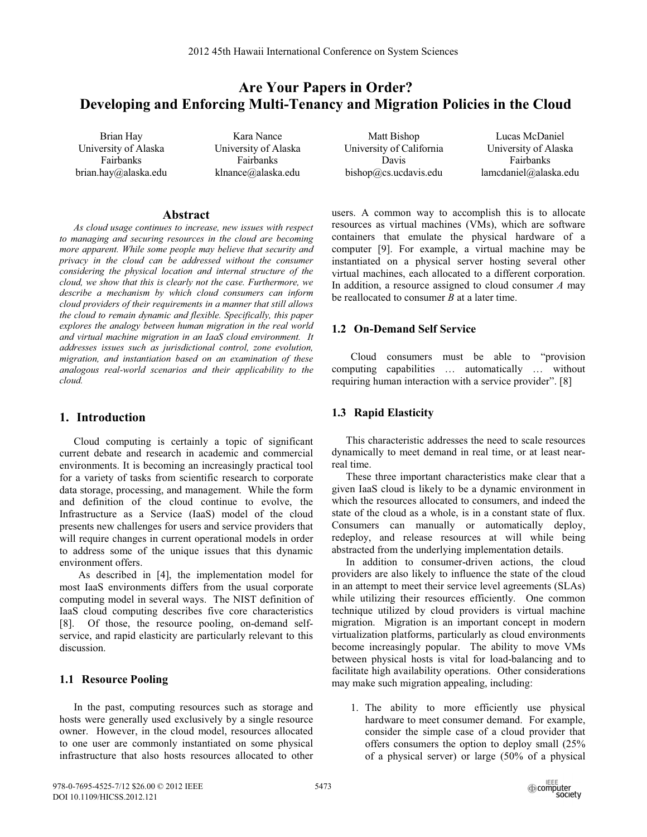# **Are Your Papers in Order? Developing and Enforcing Multi-Tenancy and Migration Policies in the Cloud**

Brian Hay University of Alaska Fairbanks brian.hay@alaska.edu

Kara Nance University of Alaska Fairbanks klnance@alaska.edu

#### **Abstract**

*As cloud usage continues to increase, new issues with respect to managing and securing resources in the cloud are becoming more apparent. While some people may believe that security and privacy in the cloud can be addressed without the consumer considering the physical location and internal structure of the cloud, we show that this is clearly not the case. Furthermore, we describe a mechanism by which cloud consumers can inform cloud providers of their requirements in a manner that still allows the cloud to remain dynamic and flexible. Specifically, this paper explores the analogy between human migration in the real world and virtual machine migration in an IaaS cloud environment. It addresses issues such as jurisdictional control, zone evolution, migration, and instantiation based on an examination of these analogous real-world scenarios and their applicability to the cloud.* 

# **1. Introduction**

Cloud computing is certainly a topic of significant current debate and research in academic and commercial environments. It is becoming an increasingly practical tool for a variety of tasks from scientific research to corporate data storage, processing, and management. While the form and definition of the cloud continue to evolve, the Infrastructure as a Service (IaaS) model of the cloud presents new challenges for users and service providers that will require changes in current operational models in order to address some of the unique issues that this dynamic environment offers.

As described in [4], the implementation model for most IaaS environments differs from the usual corporate computing model in several ways. The NIST definition of IaaS cloud computing describes five core characteristics [8]. Of those, the resource pooling, on-demand selfservice, and rapid elasticity are particularly relevant to this discussion.

### **1.1 Resource Pooling**

In the past, computing resources such as storage and hosts were generally used exclusively by a single resource owner. However, in the cloud model, resources allocated to one user are commonly instantiated on some physical infrastructure that also hosts resources allocated to other

Matt Bishop University of California Davis bishop@cs.ucdavis.edu

Lucas McDaniel University of Alaska Fairbanks lamcdaniel@alaska.edu

users. A common way to accomplish this is to allocate resources as virtual machines (VMs), which are software containers that emulate the physical hardware of a computer [9]. For example, a virtual machine may be instantiated on a physical server hosting several other virtual machines, each allocated to a different corporation. In addition, a resource assigned to cloud consumer *A* may be reallocated to consumer *B* at a later time.

#### **1.2 On-Demand Self Service**

Cloud consumers must be able to "provision computing capabilities … automatically … without requiring human interaction with a service provider". [8]

#### **1.3 Rapid Elasticity**

This characteristic addresses the need to scale resources dynamically to meet demand in real time, or at least nearreal time.

These three important characteristics make clear that a given IaaS cloud is likely to be a dynamic environment in which the resources allocated to consumers, and indeed the state of the cloud as a whole, is in a constant state of flux. Consumers can manually or automatically deploy, redeploy, and release resources at will while being abstracted from the underlying implementation details.

In addition to consumer-driven actions, the cloud providers are also likely to influence the state of the cloud in an attempt to meet their service level agreements (SLAs) while utilizing their resources efficiently. One common technique utilized by cloud providers is virtual machine migration. Migration is an important concept in modern virtualization platforms, particularly as cloud environments become increasingly popular. The ability to move VMs between physical hosts is vital for load-balancing and to facilitate high availability operations. Other considerations may make such migration appealing, including:

1. The ability to more efficiently use physical hardware to meet consumer demand. For example, consider the simple case of a cloud provider that offers consumers the option to deploy small (25% of a physical server) or large (50% of a physical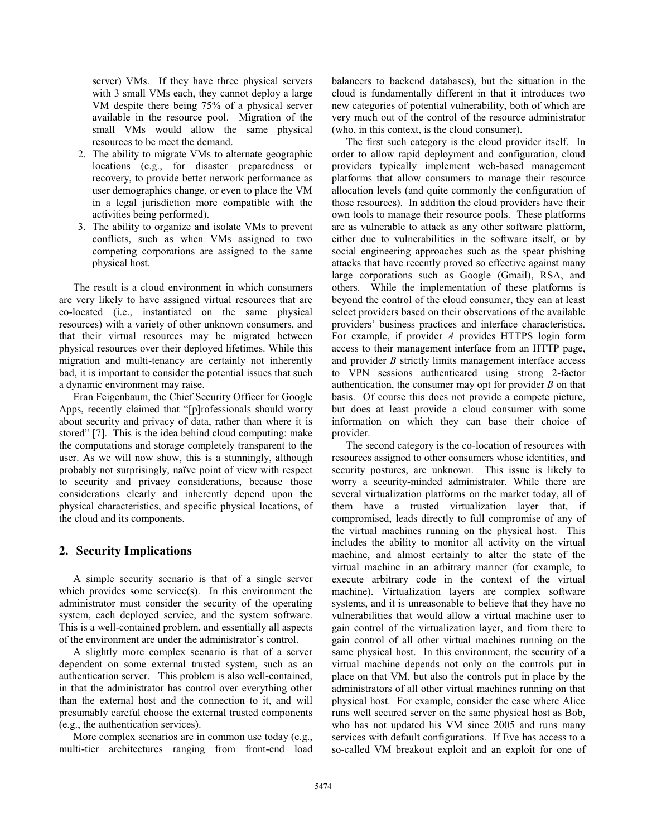server) VMs. If they have three physical servers with 3 small VMs each, they cannot deploy a large VM despite there being 75% of a physical server available in the resource pool. Migration of the small VMs would allow the same physical resources to be meet the demand.

- 2. The ability to migrate VMs to alternate geographic locations (e.g., for disaster preparedness or recovery, to provide better network performance as user demographics change, or even to place the VM in a legal jurisdiction more compatible with the activities being performed).
- 3. The ability to organize and isolate VMs to prevent conflicts, such as when VMs assigned to two competing corporations are assigned to the same physical host.

The result is a cloud environment in which consumers are very likely to have assigned virtual resources that are co-located (i.e., instantiated on the same physical resources) with a variety of other unknown consumers, and that their virtual resources may be migrated between physical resources over their deployed lifetimes. While this migration and multi-tenancy are certainly not inherently bad, it is important to consider the potential issues that such a dynamic environment may raise.

Eran Feigenbaum, the Chief Security Officer for Google Apps, recently claimed that "[p]rofessionals should worry about security and privacy of data, rather than where it is stored" [7]. This is the idea behind cloud computing: make the computations and storage completely transparent to the user. As we will now show, this is a stunningly, although probably not surprisingly, naïve point of view with respect to security and privacy considerations, because those considerations clearly and inherently depend upon the physical characteristics, and specific physical locations, of the cloud and its components.

## **2. Security Implications**

A simple security scenario is that of a single server which provides some service(s). In this environment the administrator must consider the security of the operating system, each deployed service, and the system software. This is a well-contained problem, and essentially all aspects of the environment are under the administrator's control.

A slightly more complex scenario is that of a server dependent on some external trusted system, such as an authentication server. This problem is also well-contained, in that the administrator has control over everything other than the external host and the connection to it, and will presumably careful choose the external trusted components (e.g., the authentication services).

More complex scenarios are in common use today (e.g., multi-tier architectures ranging from front-end load balancers to backend databases), but the situation in the cloud is fundamentally different in that it introduces two new categories of potential vulnerability, both of which are very much out of the control of the resource administrator (who, in this context, is the cloud consumer).

The first such category is the cloud provider itself. In order to allow rapid deployment and configuration, cloud providers typically implement web-based management platforms that allow consumers to manage their resource allocation levels (and quite commonly the configuration of those resources). In addition the cloud providers have their own tools to manage their resource pools. These platforms are as vulnerable to attack as any other software platform, either due to vulnerabilities in the software itself, or by social engineering approaches such as the spear phishing attacks that have recently proved so effective against many large corporations such as Google (Gmail), RSA, and others. While the implementation of these platforms is beyond the control of the cloud consumer, they can at least select providers based on their observations of the available providers' business practices and interface characteristics. For example, if provider *A* provides HTTPS login form access to their management interface from an HTTP page, and provider *B* strictly limits management interface access to VPN sessions authenticated using strong 2-factor authentication, the consumer may opt for provider *B* on that basis. Of course this does not provide a compete picture, but does at least provide a cloud consumer with some information on which they can base their choice of provider.

The second category is the co-location of resources with resources assigned to other consumers whose identities, and security postures, are unknown. This issue is likely to worry a security-minded administrator. While there are several virtualization platforms on the market today, all of them have a trusted virtualization layer that, if compromised, leads directly to full compromise of any of the virtual machines running on the physical host. This includes the ability to monitor all activity on the virtual machine, and almost certainly to alter the state of the virtual machine in an arbitrary manner (for example, to execute arbitrary code in the context of the virtual machine). Virtualization layers are complex software systems, and it is unreasonable to believe that they have no vulnerabilities that would allow a virtual machine user to gain control of the virtualization layer, and from there to gain control of all other virtual machines running on the same physical host. In this environment, the security of a virtual machine depends not only on the controls put in place on that VM, but also the controls put in place by the administrators of all other virtual machines running on that physical host. For example, consider the case where Alice runs well secured server on the same physical host as Bob, who has not updated his VM since 2005 and runs many services with default configurations. If Eve has access to a so-called VM breakout exploit and an exploit for one of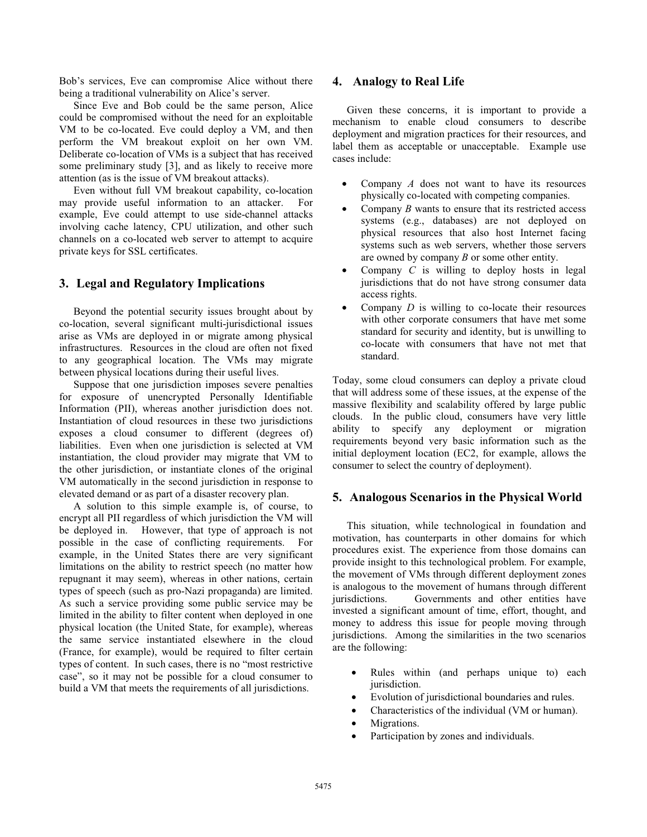Bob's services, Eve can compromise Alice without there being a traditional vulnerability on Alice's server.

Since Eve and Bob could be the same person, Alice could be compromised without the need for an exploitable VM to be co-located. Eve could deploy a VM, and then perform the VM breakout exploit on her own VM. Deliberate co-location of VMs is a subject that has received some preliminary study [3], and as likely to receive more attention (as is the issue of VM breakout attacks).

Even without full VM breakout capability, co-location may provide useful information to an attacker. For example, Eve could attempt to use side-channel attacks involving cache latency, CPU utilization, and other such channels on a co-located web server to attempt to acquire private keys for SSL certificates.

## **3. Legal and Regulatory Implications**

Beyond the potential security issues brought about by co-location, several significant multi-jurisdictional issues arise as VMs are deployed in or migrate among physical infrastructures. Resources in the cloud are often not fixed to any geographical location. The VMs may migrate between physical locations during their useful lives.

Suppose that one jurisdiction imposes severe penalties for exposure of unencrypted Personally Identifiable Information (PII), whereas another jurisdiction does not. Instantiation of cloud resources in these two jurisdictions exposes a cloud consumer to different (degrees of) liabilities. Even when one jurisdiction is selected at VM instantiation, the cloud provider may migrate that VM to the other jurisdiction, or instantiate clones of the original VM automatically in the second jurisdiction in response to elevated demand or as part of a disaster recovery plan.

A solution to this simple example is, of course, to encrypt all PII regardless of which jurisdiction the VM will be deployed in. However, that type of approach is not possible in the case of conflicting requirements. For example, in the United States there are very significant limitations on the ability to restrict speech (no matter how repugnant it may seem), whereas in other nations, certain types of speech (such as pro-Nazi propaganda) are limited. As such a service providing some public service may be limited in the ability to filter content when deployed in one physical location (the United State, for example), whereas the same service instantiated elsewhere in the cloud (France, for example), would be required to filter certain types of content. In such cases, there is no "most restrictive case", so it may not be possible for a cloud consumer to build a VM that meets the requirements of all jurisdictions.

## **4. Analogy to Real Life**

Given these concerns, it is important to provide a mechanism to enable cloud consumers to describe deployment and migration practices for their resources, and label them as acceptable or unacceptable. Example use cases include:

- Company *A* does not want to have its resources physically co-located with competing companies.
- Company *B* wants to ensure that its restricted access systems (e.g., databases) are not deployed on physical resources that also host Internet facing systems such as web servers, whether those servers are owned by company *B* or some other entity.
- Company *C* is willing to deploy hosts in legal jurisdictions that do not have strong consumer data access rights.
- Company *D* is willing to co-locate their resources with other corporate consumers that have met some standard for security and identity, but is unwilling to co-locate with consumers that have not met that standard.

Today, some cloud consumers can deploy a private cloud that will address some of these issues, at the expense of the massive flexibility and scalability offered by large public clouds. In the public cloud, consumers have very little ability to specify any deployment or migration requirements beyond very basic information such as the initial deployment location (EC2, for example, allows the consumer to select the country of deployment).

## **5. Analogous Scenarios in the Physical World**

This situation, while technological in foundation and motivation, has counterparts in other domains for which procedures exist. The experience from those domains can provide insight to this technological problem. For example, the movement of VMs through different deployment zones is analogous to the movement of humans through different jurisdictions. Governments and other entities have invested a significant amount of time, effort, thought, and money to address this issue for people moving through jurisdictions. Among the similarities in the two scenarios are the following:

- Rules within (and perhaps unique to) each jurisdiction.
- Evolution of jurisdictional boundaries and rules.
- Characteristics of the individual (VM or human).
- Migrations.
- Participation by zones and individuals.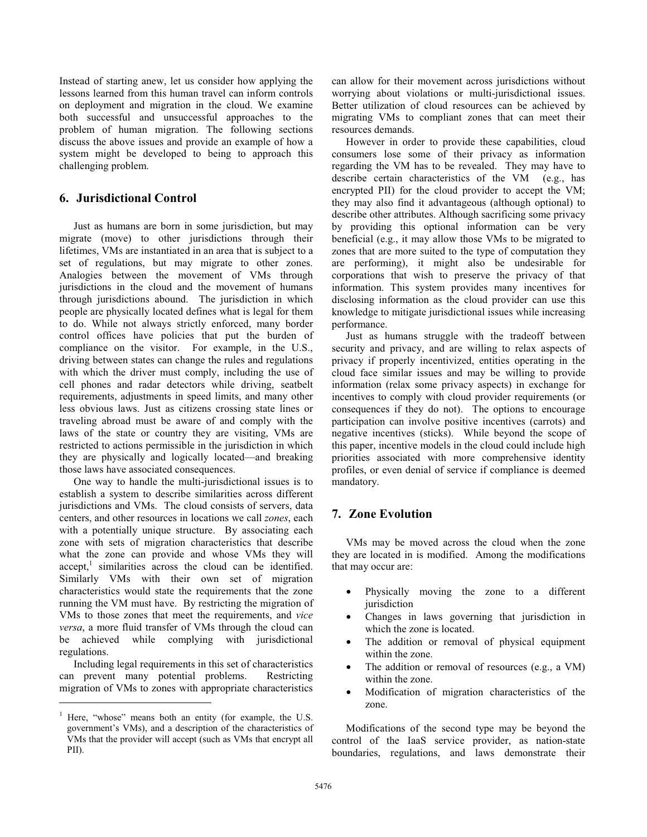Instead of starting anew, let us consider how applying the lessons learned from this human travel can inform controls on deployment and migration in the cloud. We examine both successful and unsuccessful approaches to the problem of human migration. The following sections discuss the above issues and provide an example of how a system might be developed to being to approach this challenging problem.

# **6. Jurisdictional Control**

Just as humans are born in some jurisdiction, but may migrate (move) to other jurisdictions through their lifetimes, VMs are instantiated in an area that is subject to a set of regulations, but may migrate to other zones. Analogies between the movement of VMs through jurisdictions in the cloud and the movement of humans through jurisdictions abound. The jurisdiction in which people are physically located defines what is legal for them to do. While not always strictly enforced, many border control offices have policies that put the burden of compliance on the visitor. For example, in the U.S., driving between states can change the rules and regulations with which the driver must comply, including the use of cell phones and radar detectors while driving, seatbelt requirements, adjustments in speed limits, and many other less obvious laws. Just as citizens crossing state lines or traveling abroad must be aware of and comply with the laws of the state or country they are visiting, VMs are restricted to actions permissible in the jurisdiction in which they are physically and logically located—and breaking those laws have associated consequences.

One way to handle the multi-jurisdictional issues is to establish a system to describe similarities across different jurisdictions and VMs. The cloud consists of servers, data centers, and other resources in locations we call *zones*, each with a potentially unique structure. By associating each zone with sets of migration characteristics that describe what the zone can provide and whose VMs they will  $accept<sub>i</sub><sup>1</sup>$  similarities across the cloud can be identified. Similarly VMs with their own set of migration characteristics would state the requirements that the zone running the VM must have. By restricting the migration of VMs to those zones that meet the requirements, and *vice versa*, a more fluid transfer of VMs through the cloud can be achieved while complying with jurisdictional regulations.

Including legal requirements in this set of characteristics can prevent many potential problems. Restricting migration of VMs to zones with appropriate characteristics

1

can allow for their movement across jurisdictions without worrying about violations or multi-jurisdictional issues. Better utilization of cloud resources can be achieved by migrating VMs to compliant zones that can meet their resources demands.

However in order to provide these capabilities, cloud consumers lose some of their privacy as information regarding the VM has to be revealed. They may have to describe certain characteristics of the VM (e.g., has encrypted PII) for the cloud provider to accept the VM; they may also find it advantageous (although optional) to describe other attributes. Although sacrificing some privacy by providing this optional information can be very beneficial (e.g., it may allow those VMs to be migrated to zones that are more suited to the type of computation they are performing), it might also be undesirable for corporations that wish to preserve the privacy of that information. This system provides many incentives for disclosing information as the cloud provider can use this knowledge to mitigate jurisdictional issues while increasing performance.

Just as humans struggle with the tradeoff between security and privacy, and are willing to relax aspects of privacy if properly incentivized, entities operating in the cloud face similar issues and may be willing to provide information (relax some privacy aspects) in exchange for incentives to comply with cloud provider requirements (or consequences if they do not). The options to encourage participation can involve positive incentives (carrots) and negative incentives (sticks). While beyond the scope of this paper, incentive models in the cloud could include high priorities associated with more comprehensive identity profiles, or even denial of service if compliance is deemed mandatory.

# **7. Zone Evolution**

VMs may be moved across the cloud when the zone they are located in is modified. Among the modifications that may occur are:

- Physically moving the zone to a different jurisdiction
- Changes in laws governing that jurisdiction in which the zone is located.
- The addition or removal of physical equipment within the zone.
- The addition or removal of resources (e.g., a VM) within the zone.
- Modification of migration characteristics of the zone.

Modifications of the second type may be beyond the control of the IaaS service provider, as nation-state boundaries, regulations, and laws demonstrate their

<sup>&</sup>lt;sup>1</sup> Here, "whose" means both an entity (for example, the U.S. government's VMs), and a description of the characteristics of VMs that the provider will accept (such as VMs that encrypt all PII).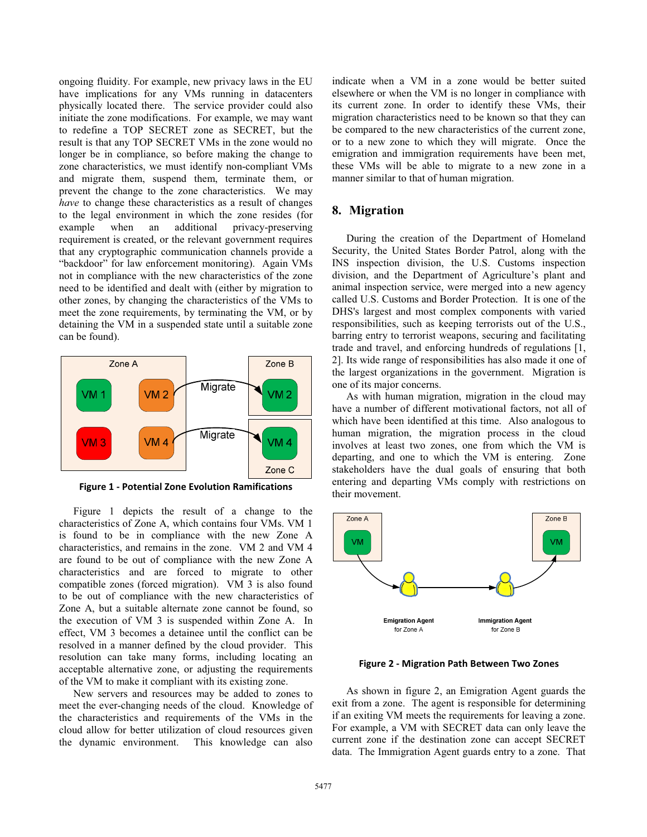ongoing fluidity. For example, new privacy laws in the EU have implications for any VMs running in datacenters physically located there. The service provider could also initiate the zone modifications. For example, we may want to redefine a TOP SECRET zone as SECRET, but the result is that any TOP SECRET VMs in the zone would no longer be in compliance, so before making the change to zone characteristics, we must identify non-compliant VMs and migrate them, suspend them, terminate them, or prevent the change to the zone characteristics. We may *have* to change these characteristics as a result of changes to the legal environment in which the zone resides (for example when an additional privacy-preserving example when an additional privacy-preserving requirement is created, or the relevant government requires that any cryptographic communication channels provide a "backdoor" for law enforcement monitoring). Again VMs not in compliance with the new characteristics of the zone need to be identified and dealt with (either by migration to other zones, by changing the characteristics of the VMs to meet the zone requirements, by terminating the VM, or by detaining the VM in a suspended state until a suitable zone can be found).



**Figure 1 - Potential Zone Evolution Ramifications**

Figure 1 depicts the result of a change to the characteristics of Zone A, which contains four VMs. VM 1 is found to be in compliance with the new Zone A characteristics, and remains in the zone. VM 2 and VM 4 are found to be out of compliance with the new Zone A characteristics and are forced to migrate to other compatible zones (forced migration). VM 3 is also found to be out of compliance with the new characteristics of Zone A, but a suitable alternate zone cannot be found, so the execution of VM 3 is suspended within Zone A. In effect, VM 3 becomes a detainee until the conflict can be resolved in a manner defined by the cloud provider. This resolution can take many forms, including locating an acceptable alternative zone, or adjusting the requirements of the VM to make it compliant with its existing zone.

New servers and resources may be added to zones to meet the ever-changing needs of the cloud. Knowledge of the characteristics and requirements of the VMs in the cloud allow for better utilization of cloud resources given the dynamic environment. This knowledge can also

indicate when a VM in a zone would be better suited elsewhere or when the VM is no longer in compliance with its current zone. In order to identify these VMs, their migration characteristics need to be known so that they can be compared to the new characteristics of the current zone, or to a new zone to which they will migrate. Once the emigration and immigration requirements have been met, these VMs will be able to migrate to a new zone in a manner similar to that of human migration.

## **8. Migration**

During the creation of the Department of Homeland Security, the United States Border Patrol, along with the INS inspection division, the U.S. Customs inspection division, and the Department of Agriculture's plant and animal inspection service, were merged into a new agency called U.S. Customs and Border Protection. It is one of the DHS's largest and most complex components with varied responsibilities, such as keeping terrorists out of the U.S., barring entry to terrorist weapons, securing and facilitating trade and travel, and enforcing hundreds of regulations [1, 2]. Its wide range of responsibilities has also made it one of the largest organizations in the government. Migration is one of its major concerns.

As with human migration, migration in the cloud may have a number of different motivational factors, not all of which have been identified at this time. Also analogous to human migration, the migration process in the cloud involves at least two zones, one from which the VM is departing, and one to which the VM is entering. Zone stakeholders have the dual goals of ensuring that both entering and departing VMs comply with restrictions on their movement.



**Figure 2 - Migration Path Between Two Zones** 

As shown in figure 2, an Emigration Agent guards the exit from a zone. The agent is responsible for determining if an exiting VM meets the requirements for leaving a zone. For example, a VM with SECRET data can only leave the current zone if the destination zone can accept SECRET data. The Immigration Agent guards entry to a zone. That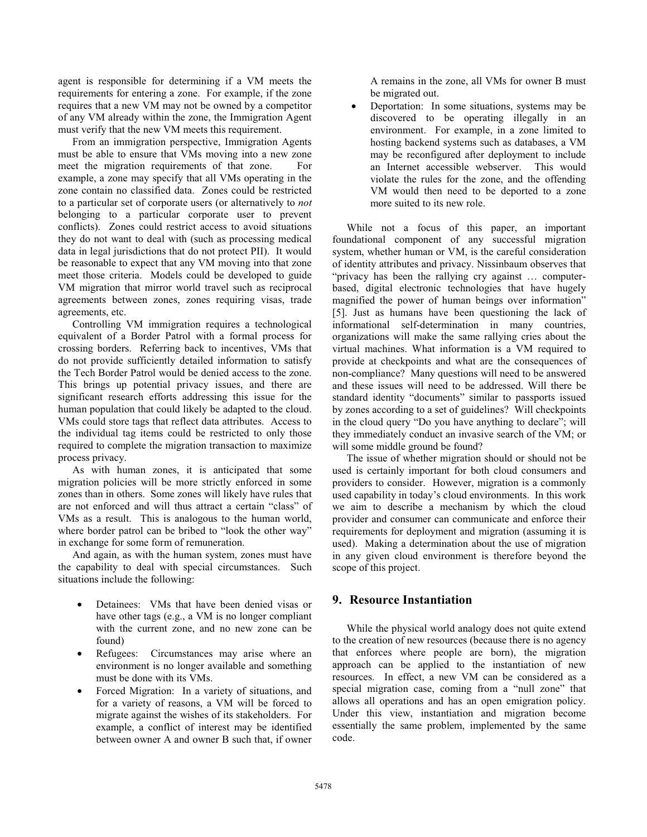agent is responsible for determining if a VM meets the requirements for entering a zone. For example, if the zone requires that a new VM may not be owned by a competitor of any VM already within the zone, the Immigration Agent must verify that the new VM meets this requirement.

From an immigration perspective, Immigration Agents must be able to ensure that VMs moving into a new zone meet the migration requirements of that zone. For example, a zone may specify that all VMs operating in the zone contain no classified data. Zones could be restricted to a particular set of corporate users (or alternatively to *not* belonging to a particular corporate user to prevent conflicts). Zones could restrict access to avoid situations they do not want to deal with (such as processing medical data in legal jurisdictions that do not protect PII). It would be reasonable to expect that any VM moving into that zone meet those criteria. Models could be developed to guide VM migration that mirror world travel such as reciprocal agreements between zones, zones requiring visas, trade agreements, etc.

Controlling VM immigration requires a technological equivalent of a Border Patrol with a formal process for crossing borders. Referring back to incentives, VMs that do not provide sufficiently detailed information to satisfy the Tech Border Patrol would be denied access to the zone. This brings up potential privacy issues, and there are significant research efforts addressing this issue for the human population that could likely be adapted to the cloud. VMs could store tags that reflect data attributes. Access to the individual tag items could be restricted to only those required to complete the migration transaction to maximize process privacy.

As with human zones, it is anticipated that some migration policies will be more strictly enforced in some zones than in others. Some zones will likely have rules that are not enforced and will thus attract a certain "class" of VMs as a result. This is analogous to the human world, where border patrol can be bribed to "look the other way" in exchange for some form of remuneration.

And again, as with the human system, zones must have the capability to deal with special circumstances. Such situations include the following:

- Detainees: VMs that have been denied visas or have other tags (e.g., a VM is no longer compliant with the current zone, and no new zone can be found)
- Refugees: Circumstances may arise where an environment is no longer available and something must be done with its VMs.
- Forced Migration: In a variety of situations, and for a variety of reasons, a VM will be forced to migrate against the wishes of its stakeholders. For example, a conflict of interest may be identified between owner A and owner B such that, if owner

A remains in the zone, all VMs for owner B must be migrated out.

• Deportation: In some situations, systems may be discovered to be operating illegally in an environment. For example, in a zone limited to hosting backend systems such as databases, a VM may be reconfigured after deployment to include an Internet accessible webserver. This would violate the rules for the zone, and the offending VM would then need to be deported to a zone more suited to its new role.

While not a focus of this paper, an important foundational component of any successful migration system, whether human or VM, is the careful consideration of identity attributes and privacy. Nissinbaum observes that "privacy has been the rallying cry against … computerbased, digital electronic technologies that have hugely magnified the power of human beings over information" [5]. Just as humans have been questioning the lack of informational self-determination in many countries, organizations will make the same rallying cries about the virtual machines. What information is a VM required to provide at checkpoints and what are the consequences of non-compliance? Many questions will need to be answered and these issues will need to be addressed. Will there be standard identity "documents" similar to passports issued by zones according to a set of guidelines? Will checkpoints in the cloud query "Do you have anything to declare"; will they immediately conduct an invasive search of the VM; or will some middle ground be found?

The issue of whether migration should or should not be used is certainly important for both cloud consumers and providers to consider. However, migration is a commonly used capability in today's cloud environments. In this work we aim to describe a mechanism by which the cloud provider and consumer can communicate and enforce their requirements for deployment and migration (assuming it is used). Making a determination about the use of migration in any given cloud environment is therefore beyond the scope of this project.

# **9. Resource Instantiation**

While the physical world analogy does not quite extend to the creation of new resources (because there is no agency that enforces where people are born), the migration approach can be applied to the instantiation of new resources. In effect, a new VM can be considered as a special migration case, coming from a "null zone" that allows all operations and has an open emigration policy. Under this view, instantiation and migration become essentially the same problem, implemented by the same code.